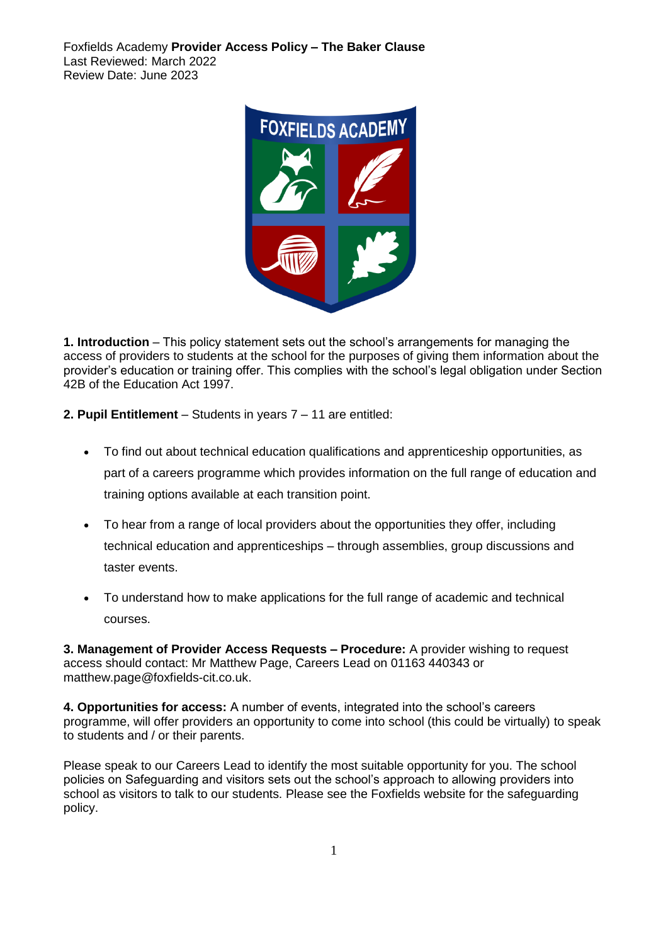Foxfields Academy **Provider Access Policy – The Baker Clause** Last Reviewed: March 2022 Review Date: June 2023



**1. Introduction** – This policy statement sets out the school's arrangements for managing the access of providers to students at the school for the purposes of giving them information about the provider's education or training offer. This complies with the school's legal obligation under Section 42B of the Education Act 1997.

**2. Pupil Entitlement** – Students in years 7 – 11 are entitled:

- To find out about technical education qualifications and apprenticeship opportunities, as part of a careers programme which provides information on the full range of education and training options available at each transition point.
- To hear from a range of local providers about the opportunities they offer, including technical education and apprenticeships – through assemblies, group discussions and taster events.
- To understand how to make applications for the full range of academic and technical courses.

**3. Management of Provider Access Requests – Procedure:** A provider wishing to request access should contact: Mr Matthew Page, Careers Lead on 01163 440343 or matthew.page@foxfields-cit.co.uk.

**4. Opportunities for access:** A number of events, integrated into the school's careers programme, will offer providers an opportunity to come into school (this could be virtually) to speak to students and / or their parents.

Please speak to our Careers Lead to identify the most suitable opportunity for you. The school policies on Safeguarding and visitors sets out the school's approach to allowing providers into school as visitors to talk to our students. Please see the Foxfields website for the safeguarding policy.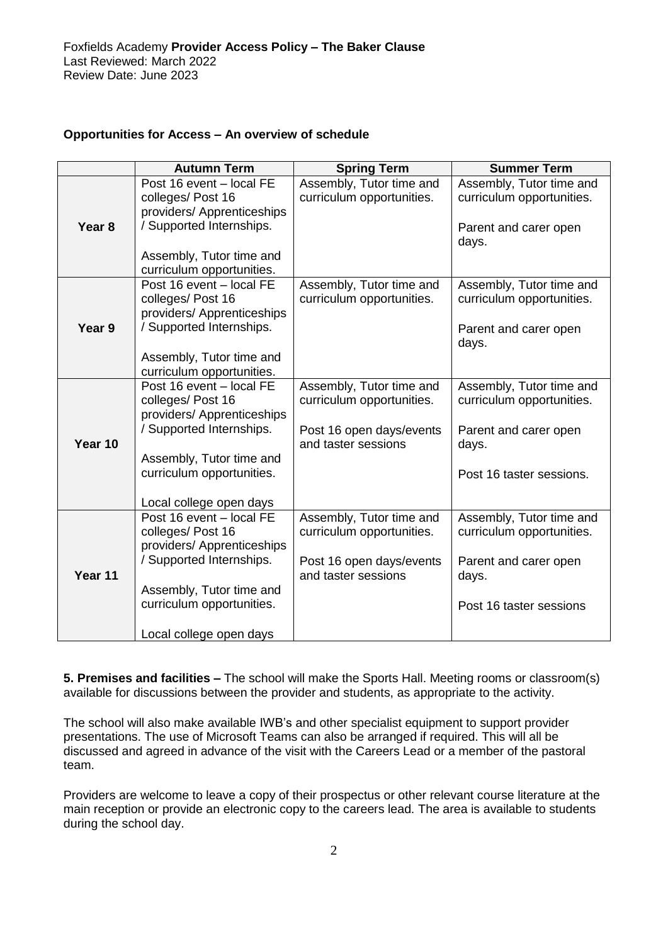## **Opportunities for Access – An overview of schedule**

|                   | <b>Autumn Term</b>                                                                                                                                                                         | <b>Spring Term</b>                                                                                       | <b>Summer Term</b>                                                                                                  |
|-------------------|--------------------------------------------------------------------------------------------------------------------------------------------------------------------------------------------|----------------------------------------------------------------------------------------------------------|---------------------------------------------------------------------------------------------------------------------|
| Year <sub>8</sub> | Post 16 event - local FE<br>colleges/Post 16<br>providers/ Apprenticeships<br>/ Supported Internships.<br>Assembly, Tutor time and<br>curriculum opportunities.                            | Assembly, Tutor time and<br>curriculum opportunities.                                                    | Assembly, Tutor time and<br>curriculum opportunities.<br>Parent and carer open<br>days.                             |
| Year 9            | Post 16 event - local FE<br>colleges/Post 16<br>providers/ Apprenticeships<br>/ Supported Internships.<br>Assembly, Tutor time and<br>curriculum opportunities.                            | Assembly, Tutor time and<br>curriculum opportunities.                                                    | Assembly, Tutor time and<br>curriculum opportunities.<br>Parent and carer open<br>days.                             |
| Year 10           | Post 16 event - local FE<br>colleges/Post 16<br>providers/ Apprenticeships<br>/ Supported Internships.<br>Assembly, Tutor time and<br>curriculum opportunities.<br>Local college open days | Assembly, Tutor time and<br>curriculum opportunities.<br>Post 16 open days/events<br>and taster sessions | Assembly, Tutor time and<br>curriculum opportunities.<br>Parent and carer open<br>days.<br>Post 16 taster sessions. |
| Year 11           | Post 16 event - local FE<br>colleges/Post 16<br>providers/ Apprenticeships<br>/ Supported Internships.<br>Assembly, Tutor time and<br>curriculum opportunities.<br>Local college open days | Assembly, Tutor time and<br>curriculum opportunities.<br>Post 16 open days/events<br>and taster sessions | Assembly, Tutor time and<br>curriculum opportunities.<br>Parent and carer open<br>days.<br>Post 16 taster sessions  |

**5. Premises and facilities –** The school will make the Sports Hall. Meeting rooms or classroom(s) available for discussions between the provider and students, as appropriate to the activity.

The school will also make available IWB's and other specialist equipment to support provider presentations. The use of Microsoft Teams can also be arranged if required. This will all be discussed and agreed in advance of the visit with the Careers Lead or a member of the pastoral team.

Providers are welcome to leave a copy of their prospectus or other relevant course literature at the main reception or provide an electronic copy to the careers lead. The area is available to students during the school day.